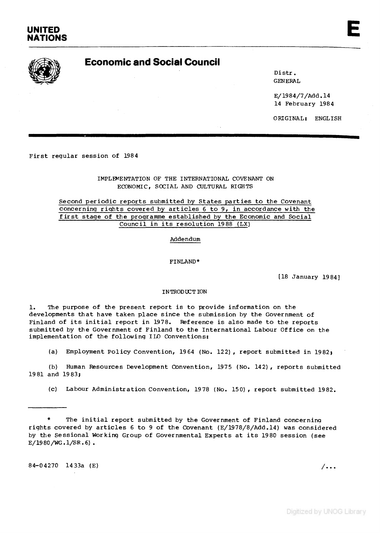# UNITED<br>NATIONS UNITED<br>NATIONS



**D istr. GENERAL**

**E/1984/7/Add.l4 14 February 1984**

**ORIGINAL; ENGLISH**

First regular session of 1984

**IMPLEMENTATION OF THE INTERNATIONAL COVENANT ON ECONOMIC, SOCIAL AND CULTURAL RIGHTS**

Second periodic reports submitted by States parties to the Covenant concerning rights covered by articles 6 to 9, in accordance with the first stage of the programme established by the Economic and Social Council in its resolution 1988 (LX)

**Addendum**

**FINLAND\***

**[18 January 1984]**

#### **INTRODUCTION**

1. The purpose of the present report is to provide information on the developments that have taken place since the submission by the Government of Finland of its initial report in 1978. Reference is also made to the reports submitted by the Government of Finland to the International Labour Office on the implementation of the following ILO Conventions:

(a) Employment Policy Convention, 1964 (No. 122), report submitted in 1982;

(b) Human Resources Development Convention, 1975 (No. 142), reports submitted **19 81 and 19 83;**

**(c) Labour Adm in istrat ion Convention, 1978 (No. 150 ), report submitted 1982.**

\* The initial report submitted by the Government of Finland concerning rights covered by articles 6 to 9 of the Covenant (E/1978/8/Add.14) was considered by the Sessional Working Group of Governmental Experts at its 1980 session (see **E/1980/WG.1/SR.6) .**

84-04270 1433a (E)



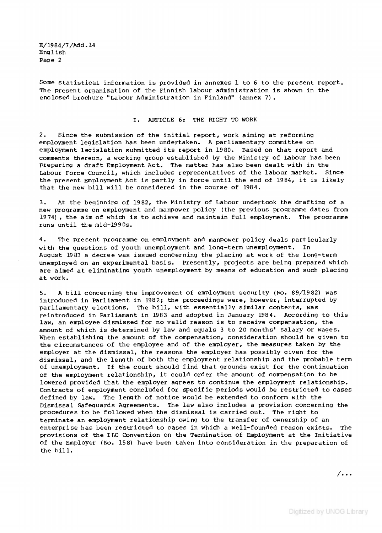**E/1984/7/Add.l4** English Page 2

Some statistical information is provided in annexes 1 to 6 to the present report. The present organization of the Finnish labour administration is shown in the enclosed brochure "Labour Administration in Finland" (annex 7).

#### **I . ARTICLE 6; THE RIGHT TO WORK**

2. Since the submission of the initial report, work aiming at reforming employment legislation has been undertaken. A parliamentary committee on employment leaislation submitted its report in 1980. Based on that report and comments thereon, a working group established by the Ministry of Labour has been **preparing a draft Employment Act. The matter has also been dealt with in the** Labour Force Council, which includes representatives of the labour market. Since the present Employment Act is partly in force until the end of 1984, it is likely that the new bill will be considered in the course of 1984.

3. At the beginning of 1982, the Ministry of Labour undertook the drafting of a new programme on employment and manpower policy (the previous programme dates from 1974), the aim of which is to achieve and maintain full employment. The programme runs until the mid-1990s.

4. The present programme on employment and manpower policy deals particularly with the questions of youth unemployment and long-term unemployment. In August 1983 a decree was issued concerning the placing at work of the long-term unemployed on an experimental basis. Presently, projects are being prepared which are aimed at eliminating youth unemployment by means of education and such placing **at work.**

5. A bill concerning the improvement of employment security (No. 89/1982) was introduced in Parliament in 1982; the proceedings were, however, interrupted by parliamentary elections. The bill, with essentially similar contents, was reintroduced in Parliamant in 1983 and adopted in January 1984. According to this law, an employee dismissed for no valid reason is to receive compensation, the amount of which is determined by law and equals 3 to 20 months' salary or wages. When establishing the amount of the compensation, consideration should be given to the circumstances of the employee and of the employer, the measures taken by the employer at the dismissal, the reasons the employer has possibly given for the dismissal, and the length of both the employment relationship and the probable term of unemployment. If the court should find that grounds exist for the continuation of the employment relationship, it could order the amount of compensation to be lowered provided that the employer agrees to continue the employment relationship. Contracts of employment concluded for specific periods would be restricted to cases defined by law. The length of notice would be extended to conform with the Dismissal Safequards Agreements. The law also includes a provision concerning the procedures to be followed when the dismissal is carried out. The right to terminate an employment relationship owing to the transfer of ownership of an enterprise has been restricted to cases in which a well-founded reason exists. The provisions of the ILO Convention on the Termination of Employment at the Initiative of the Employer (No. 158) have been taken into consideration in the preparation of the bill.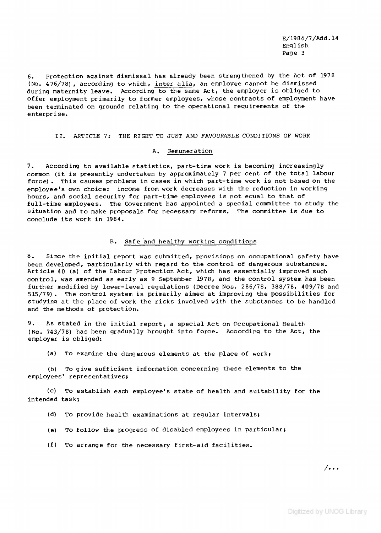**E/19 8 4/7/Add. 14 Eng lish Page 3**

6. Protection against dismissal has already been strengthened by the Act of 1978 (No. 476/78), according to which, inter alia, an employee cannot be dismissed during maternity leave. According to the same Act, the employer is obliged to offer employment primarily to former employees, whose contracts of employment have been terminated on grounds relating to the operational requirements of the **en terp r i se.**

II. ARTICLE 7: THE RIGHT TO JUST AND FAVOURABLE CONDITIONS OF WORK

#### **A. Remuneration**

7. According to available statistics, part-time work is becoming increasingly common (it is presently undertaken by approximately 7 per cent of the total labour force). This causes problems in cases in which part-time work is not based on the employee's own choice: income from work decreases with the reduction in working hours, and social security for part-time employees is not equal to that of full-time employees. The Government has appointed a special committee to study the situation and to make proposals for necessary reforms. The committee is due to conclude its work in 1984.

#### **B.** Safe and healthy working conditions

8. Since the initial report was submitted, provisions on occupational safety have been developed, particularly with regard to the control of dangerous substances. Article 40 (a) of the Labour Protection Act, which has essentially improved such control, was amended as early as 9 September 1978, and the control system has been further modified by lower-level requlations (Decree Nos. 286/78, 388/78, 409/78 and 515/79). The control system is primarily aimed at improving the possibilities for studying at the place of work the risks involved with the substances to be handled and the methods of protection.

9. As stated in the initial report, a special Act on Occupational Health (No. 743/78) has been gradually brought into force. According to the Act, the **employer is obliged:** 

(a) To examine the dangerous elements at the place of work;

(b) To give sufficient information concerning these elements to the **employees' representatives;**

(c) To establish each employee's state of health and suitability for the **intended task;**

- (d) To provide health examinations at regular intervals;
- (e) To follow the progress of disabled employees in particular;
- (f) To arrange for the necessary first-aid facilities.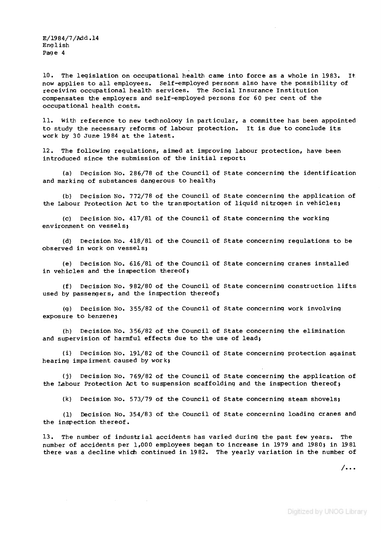**E/19 8 4/7/Add. 14 E n g lish** Page 4

10. The legislation on occupational health came into force as a whole in 1983. It now applies to all employees. Self-employed persons also have the possibility of receiving occupational health services. The Social Insurance Institution compensates the employers and self-employed persons for 60 per cent of the **occupational health costs.**

11. With reference to new technoloay in particular, a committee has been appointed to study the necessary reforms of labour protection. It is due to conclude its work by 30 June 1984 at the latest.

12. The following regulations, aimed at improving labour protection, have been introduced since the submission of the initial report:

(a) Decision No. 286/78 of the Council of State concerning the identification and marking of substances dangerous to health;

(b) Decision No. 772/78 of the Council of State concerning the application of the Labour Protection Act to the transportation of liquid nitrogen in vehicles;

(c) Decision No. 417/81 of the Council of State concerning the working environment on vessels;

(d) Decision No. 418/81 of the Council of State concerning regulations to be **observed in work on vessels;** 

(e) Decision No. 616/81 of the Council of State concerning cranes installed in vehicles and the inspection thereof;

(f) Decision No. 982/80 of the Council of State concerning construction lifts used by passengers, and the inspection thereof;

(g) Decision No. 355/82 of the Council of State concerning work involving **exposure to benzene;**

(h) Decision No. 356/82 of the Council of State concerning the elimination and supervision of harmful effects due to the use of lead;

(i) Decision No. 191/82 of the Council of State concerning protection against **hearing impairment caused by work;**

(j) Decision No. 769/82 of the Council of State concerning the application of the Labour Protection Act to suspension scaffolding and the inspection thereof;

(k) Decision No. 573/79 of the Council of State concerning steam shovels;

(1) Decision No. 354/83 of the Council of State concerning loading cranes and the inspection thereof.

13. The number of industrial accidents has varied during the past few years. The number of accidents per 1,000 employees began to increase in 1979 and 1980; in 1981 there was a decline which continued in 1982. The yearly variation in the number of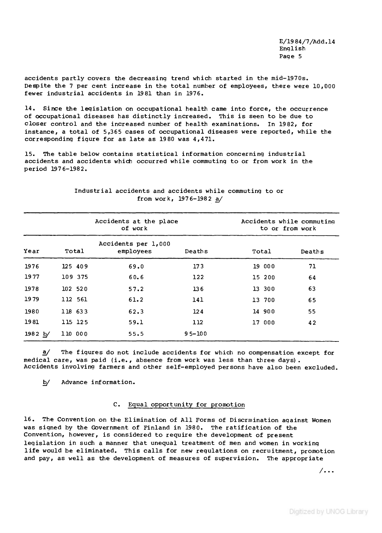accidents partly covers the decreasing trend which started in the mid-1970s. Despite the 7 per cent increase in the total number of employees, there were 10,000 fewer industrial accidents in 1981 than in 1976.

14. Since the legislation on occupational health came into force, the occurrence of occupational diseases has distinctly increased. This is seen to be due to closer control and the increased number of health examinations. In 1982, for instance, a total of 5,365 cases of occupational diseases were reported, while the corresponding figure for as late as 1980 was 4,471.

15. The table below contains statistical information concerning industrial accidents and accidents which occurred while commuting to or from work in the **period 1976-1982.**

|         |         | Accidents at the place<br>of work |            | Accidents while commuting<br>to or from work |        |
|---------|---------|-----------------------------------|------------|----------------------------------------------|--------|
| Year    | Total   | Accidents per 1,000<br>employees  | Deaths     | Total                                        | Deaths |
| 1976    | 125 409 | 69.0                              | 173        | 19 000                                       | 71     |
| 1977    | 109 375 | 60.6                              | 122        | 15 200                                       | 64     |
| 1978    | 102 520 | 57.2                              | 136        | 13 300                                       | 63     |
| 1979    | 112 561 | 61.2                              | 141        | 13 700                                       | 65     |
| 1980    | 118 633 | 62.3                              | 124        | 14 900                                       | 55     |
| 1981    | 115 125 | 59.1                              | 112        | 17 000                                       | 42     |
| 1982 b/ | 110 000 | 55.5                              | $95 - 100$ |                                              |        |

# Industrial accidents and accidents while commuting to or from work, 1976-1982 a/

**a/** The figures do not include accidents for which no compensation except for medical care, was paid (i.e., absence from work was less than three days). Accidents involving farmers and other self-employed persons have also been excluded.

*^* **Advance information.**

# **C.** Equal opportunity for promotion

16. The Convention on the Elimination of All Forms of Discrmination against Women was signed by the Government of Finland in 1980. The ratification of the Convention, however, is considered to require the development of present legislation in such a manner that unequal treatment of men and women in working life would be eliminated. This calls for new regulations on recruitment, promotion and pay, as well as the development of measures of supervision. The appropriate

7. . .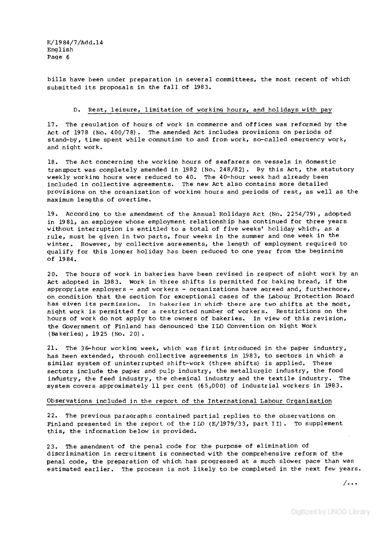**E/1984/7/Add.l4** English **Page 6**

bills have been under preparation in several committees, the most recent of which submitted its proposals in the fall of 1983.

#### D. Rest, leisure, limitation of working hours, and holidays with pay

17. The requlation of hours of work in commerce and offices was reformed by the Act of 1978 (No. 400/78). The amended Act includes provisions on periods of stand-by, time spent while commuting to and from work, so-called emergency work, **and n ight work.**

18. The Act concerning the working hours of seafarers on vessels in domestic tran sport was completely amended in 1982 (No. 248/82). By this Act, the statutory weekly working hours were reduced to 40. The 40-hour week had already been included in collective agreements. The new Act also contains more detailed provisions on the organization of working hours and periods of rest, as well as the maximum lengths of overtime.

19. According to the amendment of the Annual Holidays Act (No. 2254/79), adopted in 1981, an employee whose employment relationship has continued for three years without interruption is entitled to a total of five weeks' holiday which, as a rule, must be given in two parts, four weeks in the summer and one week in the winter. However, by collective agreements, the length of employment required to qualify for this longer holiday has been reduced to one year from the beginning **o f 19 84.**

20. The hours of work in bakeries have been revised in respect of night work by an Act adopted in 1983. Work in three shifts is permitted for baking bread, if the **appropriate employers - and workers - organ ization s have agreed and, furthermore,** on condition that the section for exceptional cases of the Labour Protection Board has given its permission. In bakeries in which there are two shifts at the most, night work is permitted for a restricted number of workers. Restrictions on the hours of work do not apply to the owners of bakeries. In view of this revision, the Government of Finland has denounced the ILO Convention on Night Work **(Baker ie s ) , 1925 (No. 20) .**

21. The 36-hour working week, which was first introduced in the paper industry, has been extended, through collective agreements in 1983, to sectors in which a similar system of uninterrupted shift-work (three shifts) is applied. These sectors include the paper and pulp industry, the metallurgic industry, the food industry, the feed industry, the chemical industry and the textile industry. The system covers approximately 11 per cent (65,000) of industrial workers in 1983.

#### Observations included in the report of the International Labour Organisation

22. The previous paragraphs contained partial replies to the observations on Finland presented in the report of the ILO (E/1979/33, part II). To supplement **th is , the information below is provided.**

23. The amendment of the penal code for the purpose of elimination of discrimination in recruitment is connected with the comprehensive reform of the penal code, the preparation of which has progressed at a much slower pace than was estimated earlier. The process is not likely to be completed in the next few years.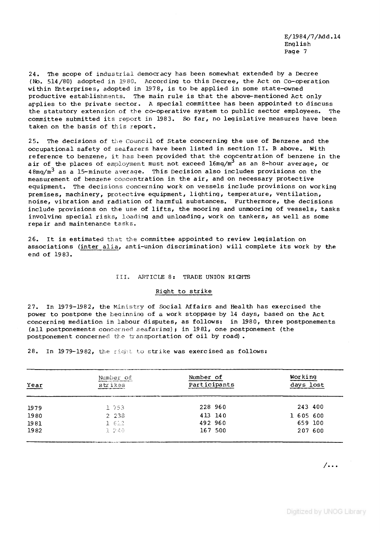**E/1984/7/Add.l4 Eng lish Page 7**

24. The scope of industrial democracy has been somewhat extended by a Decree (No. 514/80) adopted in 1980. According to this Decree, the Act on Co-operation within Enterprises, adopted in 1978, is to be applied in some state-owned productive establishments. The main rule is that the above-mentioned Act only applies to the private sector. A special committee has been appointed to discuss the statutory extension of the co-operative system to public sector employees. The committee submitted its report in 1983. So far, no legislative measures have been taken on the basis of this report.

25. The decisions of the Council of State concerning the use of Benzene and the **occupational safety of seafarers have been listed in section II. B above. With** reference to benzene, it has been provided that the concentration of benzene in the air of the places of employment must not exceed l6mg/m<sup>3</sup> as an 8-hour average, or 48mg/m<sup>3</sup> as a 15-minute average. This Decision also includes provisions on the measurement of benzene concentration in the air, and on necessary protective equipment. The decisions concerning work on vessels include provisions on working premises, machinery, protective equipment, lighting, temperature, ventilation, noise, vibration and radiation of harmful substances. Furthermore, the decisions include provisions on the use of lifts, the mooring and unmooring of vessels, tasks involving special risks, loading and unloading, work on tankers, as well as some repair and maintenance tasks.

26. It is estimated that the committee appointed to review legislation on associations (inter alia, anti-union discrimination) will complete its work by the end of 1983.

#### **III . ARTICLE 8; TRADE UNION RIGHTS**

#### **Right to strike**

27. In 1979-1982, the Ministry of Social Affairs and Health has exercised the power to postpone the beginning of a work stoppage by 14 days, based on the Act concerning mediation in labour disputes, as follows: in 1980, three postponements **( a l l postponements concerned se a fa r in g )***t* **in 1981, one postponement (the** postponement concerned the transportation of oil by road).

28. In 1979-1982, the right to strike was exercised as follows:

| Year | Number of<br>strikes | Number of<br>Participants | Working<br>days lost |
|------|----------------------|---------------------------|----------------------|
| 1979 | 1 753                | 228 960                   | 243 400              |
| 1980 | 2 2 3 8              | 413 140                   | 1 605 600            |
| 1981 | 1.622                | 492 960                   | 659 100              |
| 1982 | 1 240                | 167 500                   | 207 600              |
|      |                      |                           |                      |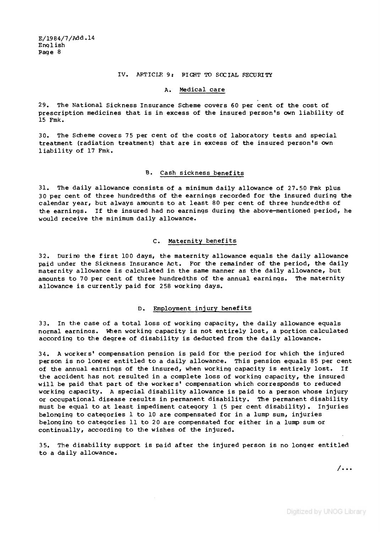#### IV. ARTICLE 9: PIGHT TO SOCIAL SECURITY

#### **A. Medical care**

29. The National Sickness Insurance Scheme covers 60 per cent of the cost of prescription medicines that is in excess of the insured person's own liability of **15 Fmk.**

30. The Scheme covers 75 per cent of the costs of laboratory tests and special treatment (radiation treatment) that are in excess of the insured person's own liability of 17 Fmk.

#### **B.** Cash sickness benefits

31. The daily allowance consists of a minimum daily allowance of 27.50 Fmk plus 30 per cent of three hundredths of the earnings recorded for the insured during the calendar year, but always amounts to at least 80 per cent of three hundredths of the earnings. If the insured had no earnings during the above-mentioned period, he would receive the minimum daily allowance.

## **C. Maternity ben efits**

**32. During the first 100 days, the maternity allowance equals the daily allowance** paid under the Sickness Insurance Act. For the remainder of the period, the daily maternity allowance is calculated in the same manner as the daily allowance, but amounts to 70 per cent of three hundredths of the annual earnings. The maternity allowance is currently paid for 258 working days.

# **D.** Employment injury benefits

33. In the case of a total loss of working capacity, the daily allowance equals normal earnings. When working capacity is not entirely lost, a portion calculated according to the degree of disability is deducted from the daily allowance.

34. A workers' compensation pension is paid for the period for which the injured person is no longer entitled to a daily allowance. This pension equals 85 per cent of the annual earnings of the insured, when working capacity is entirely lost. If the accident has not resulted in a complete loss of working capacity, the insured will be paid that part of the workers' compensation which corresponds to reduced working capacity. A special disability allowance is paid to a person whose injury or occupational disease results in permanent disability. The permanent disability must be equal to at least impediment category 1 (5 per cent disability). Injuries belonging to categories 1 to 10 are compensated for in a lump sum, injuries belonging to categories 11 to 20 are compensated for either in a lump sum or continually, according to the wishes of the injured.

35. The disability support is paid after the injured person is no longer entitled to a daily allowance.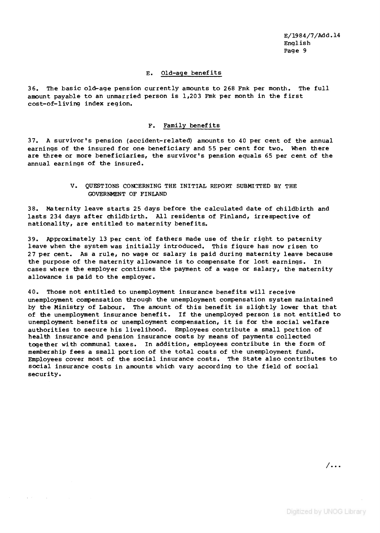**E/1984/7/Add.l4 E ng lish Page 9**

#### **E. O ld -age b en e f it s**

36. The basic old-age pension currently amounts to 268 Fmk per month. The full amount payable to an unmarried person is 1,203 Fmk per month in the first cost-of-living index region.

## F. Family benefits

37. A survivor's pension (accident-related) amounts to 40 per cent of the annual earnings of the insured for one beneficiary and 55 per cent for two. When there are three or more beneficiaries, the survivor's pension equals 65 per cent of the annual earnings of the insured.

# **V. QUESTIONS CONCERNING THE INITIAL REPORT SUBMITTED BY THE GOVERNMENT OF FINLAND**

**38. Maternity leave starts 25 days before the calculated date of childbirth and** lasts 234 days after childbirth. All residents of Finland, irrespective of nationality, are entitled to maternity benefits.

39. Approximately 13 per cent of fathers made use of their right to paternity leave when the system was initially introduced. This figure has now risen to 27 per cent. As a rule, no wage or salary is paid during maternity leave because the purpose of the maternity allowance is to compensate for lost earnings. In cases where the employer continues the payment of a wage or salary, the maternity **allowance is paid to the employer.**

40. Those not entitled to unemployment insurance benefits will receive **unemployment compensation through the unemployment compensation system maintained** by the Ministry of Labour. The amount of this benefit is slightly lower that that of the unemployment insurance benefit. If the unemployed person is not entitled to unemployment benefits or unemployment compensation, it is for the social welfare au thorities to secure his livelihood. Employees contribute a small portion of health insurance and pension insurance costs by means of payments collected together with communal taxes. In addition, employees contribute in the form of membership fees a small portion of the total costs of the unemployment fund. Employees cover most of the social insurance costs. The State also contributes to social insurance costs in amounts which vary according to the field of social **security.**